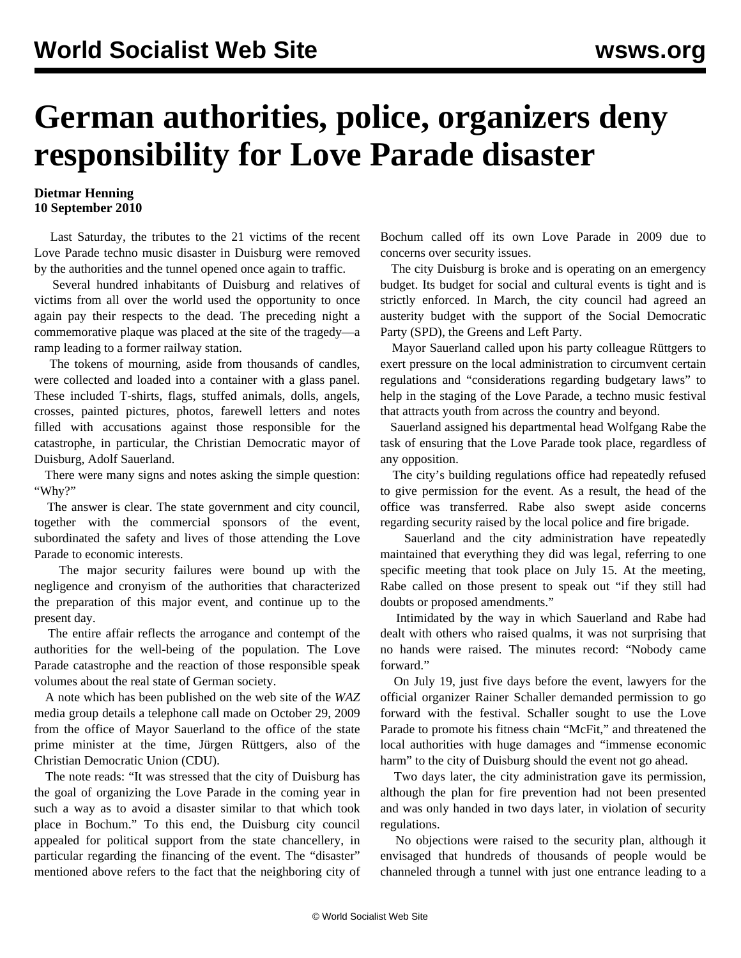## **German authorities, police, organizers deny responsibility for Love Parade disaster**

## **Dietmar Henning 10 September 2010**

 Last Saturday, the tributes to the 21 victims of the recent Love Parade techno music disaster in Duisburg were removed by the authorities and the tunnel opened once again to traffic.

 Several hundred inhabitants of Duisburg and relatives of victims from all over the world used the opportunity to once again pay their respects to the dead. The preceding night a commemorative plaque was placed at the site of the tragedy—a ramp leading to a former railway station.

 The tokens of mourning, aside from thousands of candles, were collected and loaded into a container with a glass panel. These included T-shirts, flags, stuffed animals, dolls, angels, crosses, painted pictures, photos, farewell letters and notes filled with accusations against those responsible for the catastrophe, in particular, the Christian Democratic mayor of Duisburg, Adolf Sauerland.

 There were many signs and notes asking the simple question: "Why?"

 The answer is clear. The state government and city council, together with the commercial sponsors of the event, subordinated the safety and lives of those attending the Love Parade to economic interests.

 The major security failures were bound up with the negligence and cronyism of the authorities that characterized the preparation of this major event, and continue up to the present day.

 The entire affair reflects the arrogance and contempt of the authorities for the well-being of the population. The Love Parade catastrophe and the reaction of those responsible speak volumes about the real state of German society.

 A note which has been published on the web site of the *WAZ* media group details a telephone call made on October 29, 2009 from the office of Mayor Sauerland to the office of the state prime minister at the time, Jürgen Rüttgers, also of the Christian Democratic Union (CDU).

 The note reads: "It was stressed that the city of Duisburg has the goal of organizing the Love Parade in the coming year in such a way as to avoid a disaster similar to that which took place in Bochum." To this end, the Duisburg city council appealed for political support from the state chancellery, in particular regarding the financing of the event. The "disaster" mentioned above refers to the fact that the neighboring city of Bochum called off its own Love Parade in 2009 due to concerns over security issues.

 The city Duisburg is broke and is operating on an emergency budget. Its budget for social and cultural events is tight and is strictly enforced. In March, the city council had agreed an austerity budget with the support of the Social Democratic Party (SPD), the Greens and Left Party.

 Mayor Sauerland called upon his party colleague Rüttgers to exert pressure on the local administration to circumvent certain regulations and "considerations regarding budgetary laws" to help in the staging of the Love Parade, a techno music festival that attracts youth from across the country and beyond.

 Sauerland assigned his departmental head Wolfgang Rabe the task of ensuring that the Love Parade took place, regardless of any opposition.

 The city's building regulations office had repeatedly refused to give permission for the event. As a result, the head of the office was transferred. Rabe also swept aside concerns regarding security raised by the local police and fire brigade.

 Sauerland and the city administration have repeatedly maintained that everything they did was legal, referring to one specific meeting that took place on July 15. At the meeting, Rabe called on those present to speak out "if they still had doubts or proposed amendments."

 Intimidated by the way in which Sauerland and Rabe had dealt with others who raised qualms, it was not surprising that no hands were raised. The minutes record: "Nobody came forward."

 On July 19, just five days before the event, lawyers for the official organizer Rainer Schaller demanded permission to go forward with the festival. Schaller sought to use the Love Parade to promote his fitness chain "McFit," and threatened the local authorities with huge damages and "immense economic harm" to the city of Duisburg should the event not go ahead.

 Two days later, the city administration gave its permission, although the plan for fire prevention had not been presented and was only handed in two days later, in violation of security regulations.

 No objections were raised to the security plan, although it envisaged that hundreds of thousands of people would be channeled through a tunnel with just one entrance leading to a